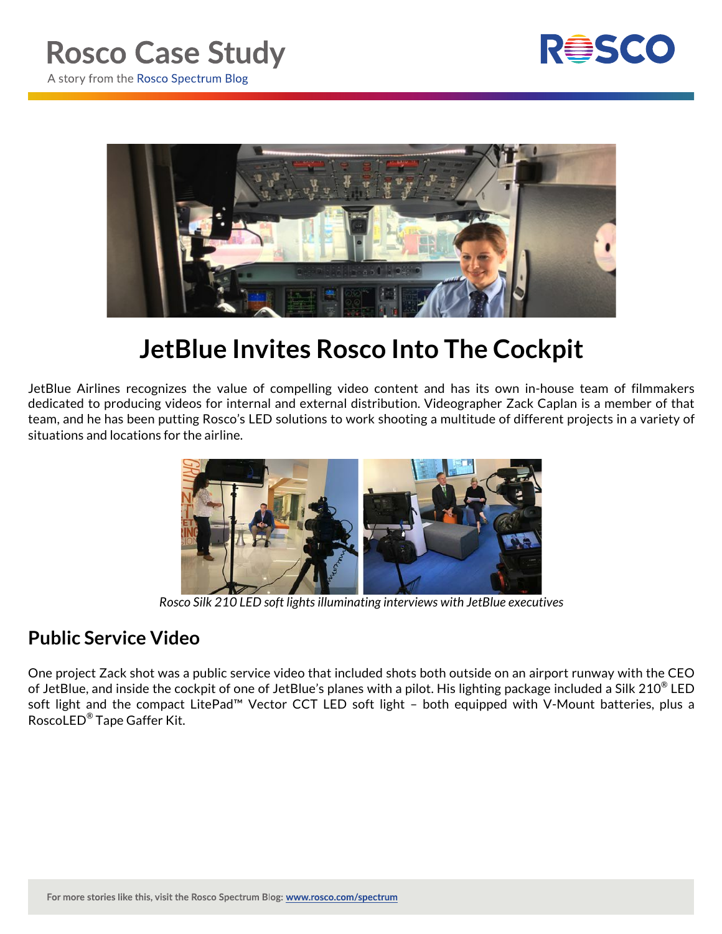



## **JetBlue Invites Rosco Into The Cockpit**

JetBlue Airlines recognizes the value of compelling video content and has its own in-house team of filmmakers dedicated to producing videos for internal and external distribution. Videographer Zack Caplan is a member of that team, and he has been putting Rosco's LED solutions to work shooting a multitude of different projects in a variety of situations and locations for the airline.



*Rosco Silk 210 LED soft lights illuminating interviews with JetBlue executives*

## **Public Service Video**

One project Zack shot was a public service video that included shots both outside on an airport runway with the CEO of JetBlue, and inside the cockpit of one of JetBlue's planes with a pilot. His lighting package included a Silk 210® LED soft light and the compact LitePad™ Vector CCT LED soft light – both equipped with V-Mount batteries, plus a RoscoLED® Tape Gaffer Kit.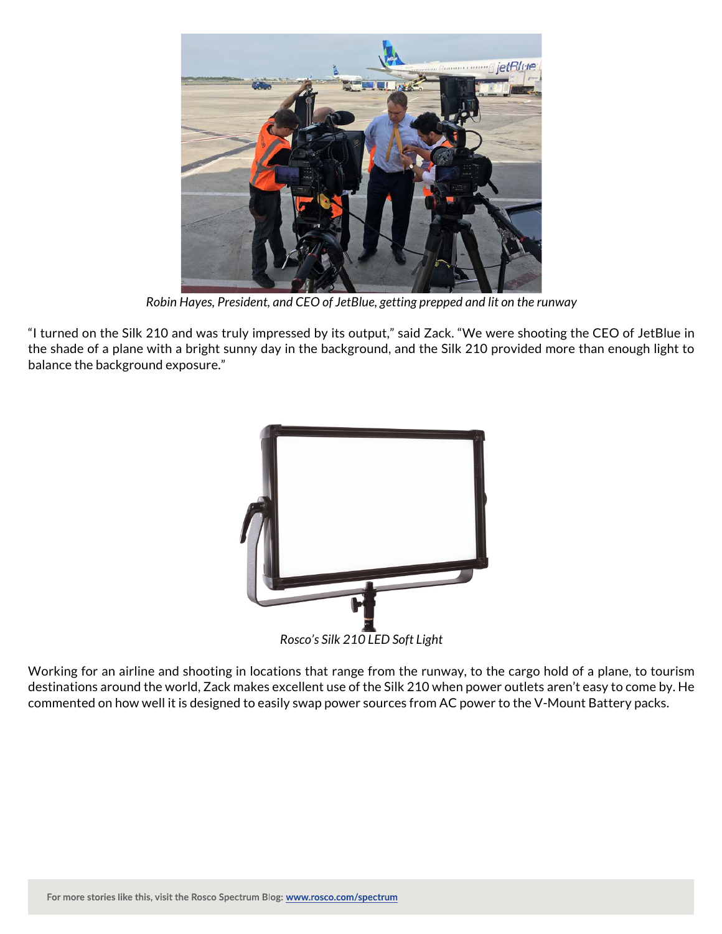

*Robin Hayes, President, and CEO of JetBlue, getting prepped and lit on the runway*

"I turned on the Silk 210 and was truly impressed by its output," said Zack. "We were shooting the CEO of JetBlue in the shade of a plane with a bright sunny day in the background, and the Silk 210 provided more than enough light to balance the background exposure."



Working for an airline and shooting in locations that range from the runway, to the cargo hold of a plane, to tourism destinations around the world, Zack makes excellent use of the Silk 210 when power outlets aren't easy to come by. He commented on how well it is designed to easily swap power sources from AC power to the V-Mount Battery packs.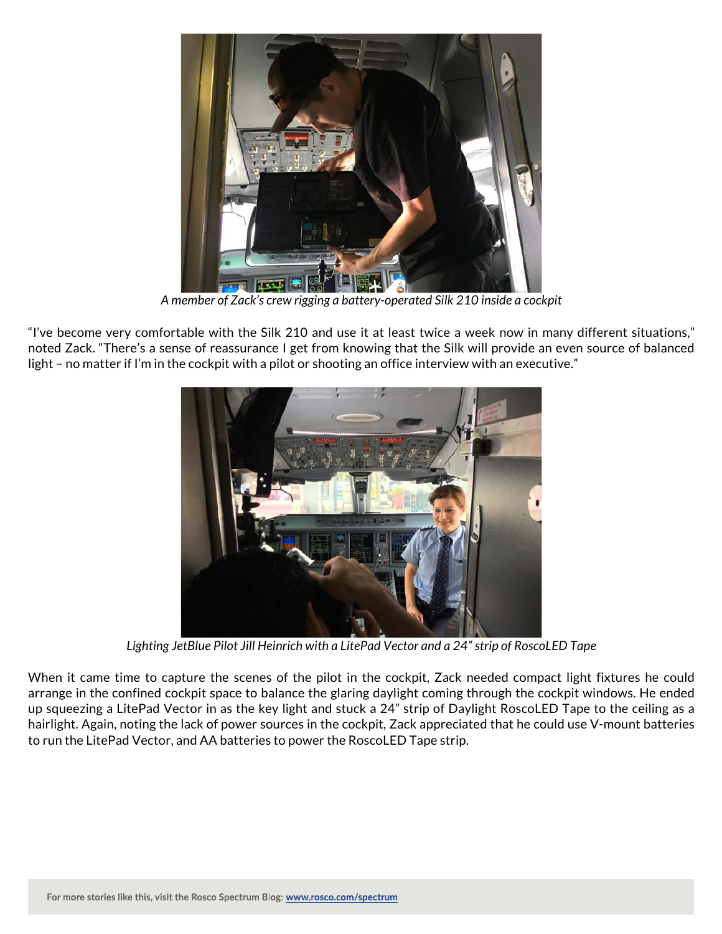

*A member of Zack's crew rigging a battery-operated Silk 210 inside a cockpit*

"I've become very comfortable with the Silk 210 and use it at least twice a week now in many different situations," noted Zack. "There's a sense of reassurance I get from knowing that the Silk will provide an even source of balanced light - no matter if I'm in the cockpit with a pilot or shooting an office interview with an executive."



*Lighting JetBlue Pilot Jill Heinrich with a LitePad Vector and a 24" strip of RoscoLED Tape*

When it came time to capture the scenes of the pilot in the cockpit, Zack needed compact light fixtures he could arrange in the confined cockpit space to balance the glaring daylight coming through the cockpit windows. He ended up squeezing a LitePad Vector in as the key light and stuck a 24" strip of Daylight RoscoLED Tape to the ceiling as a hairlight. Again, noting the lack of power sources in the cockpit, Zack appreciated that he could use V-mount batteries to run the LitePad Vector, and AA batteries to power the RoscoLED Tape strip.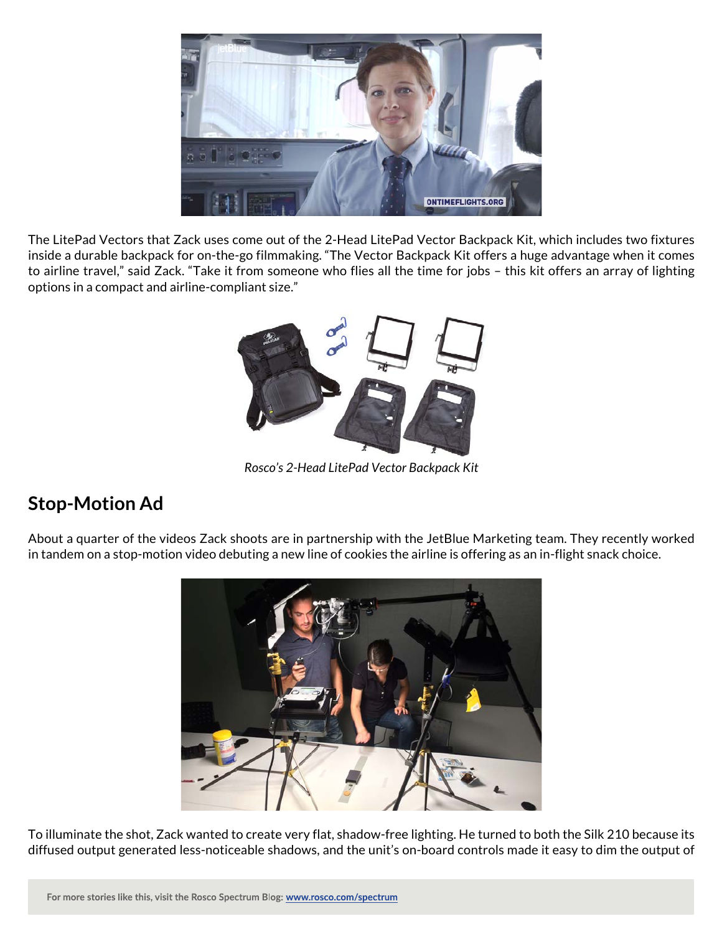

The LitePad Vectors that Zack uses come out of the 2-Head LitePad Vector Backpack Kit, which includes two fixtures inside a durable backpack for on-the-go filmmaking. "The Vector Backpack Kit offers a huge advantage when it comes to airline travel," said Zack. "Take it from someone who flies all the time for jobs – this kit offers an array of lighting options in a compact and airline-compliant size."



*Rosco's 2-Head LitePad Vector Backpack Kit*

## **Stop-Motion Ad**

About a quarter of the videos Zack shoots are in partnership with the JetBlue Marketing team. They recently worked in tandem on a stop-motion video debuting a new line of cookies the airline is offering as an in-flight snack choice.



To illuminate the shot, Zack wanted to create very flat, shadow-free lighting. He turned to both the Silk 210 because its diffused output generated less-noticeable shadows, and the unit's on-board controls made it easy to dim the output of